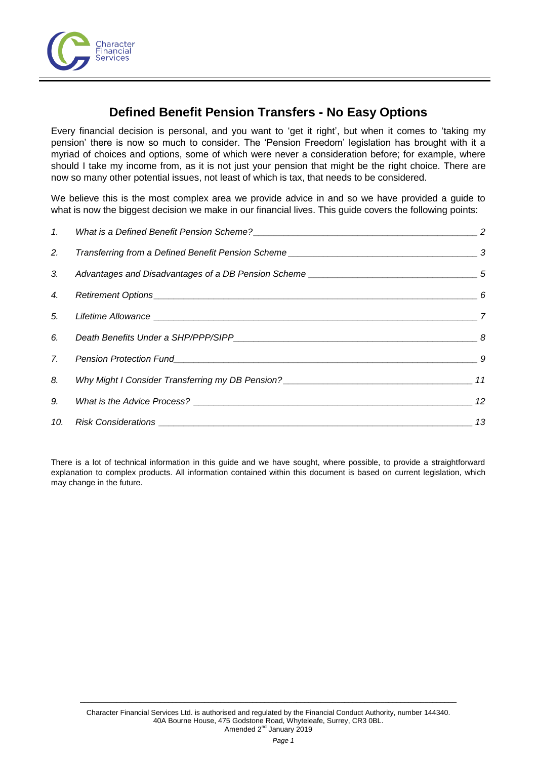

# **Defined Benefit Pension Transfers - No Easy Options**

Every financial decision is personal, and you want to 'get it right', but when it comes to 'taking my pension' there is now so much to consider. The 'Pension Freedom' legislation has brought with it a myriad of choices and options, some of which were never a consideration before; for example, where should I take my income from, as it is not just your pension that might be the right choice. There are now so many other potential issues, not least of which is tax, that needs to be considered.

We believe this is the most complex area we provide advice in and so we have provided a guide to what is now the biggest decision we make in our financial lives. This guide covers the following points:

| 2.             |                           |                            |
|----------------|---------------------------|----------------------------|
| 3.             |                           |                            |
| 4.             |                           |                            |
| 5.             |                           | $\overline{\phantom{a}}$ 7 |
| 6.             |                           |                            |
| 7 <sub>1</sub> | Pension Protection Fund 9 |                            |
| 8.             |                           |                            |
| 9.             |                           |                            |
|                |                           | $\sim$ 13                  |

There is a lot of technical information in this guide and we have sought, where possible, to provide a straightforward explanation to complex products. All information contained within this document is based on current legislation, which may change in the future.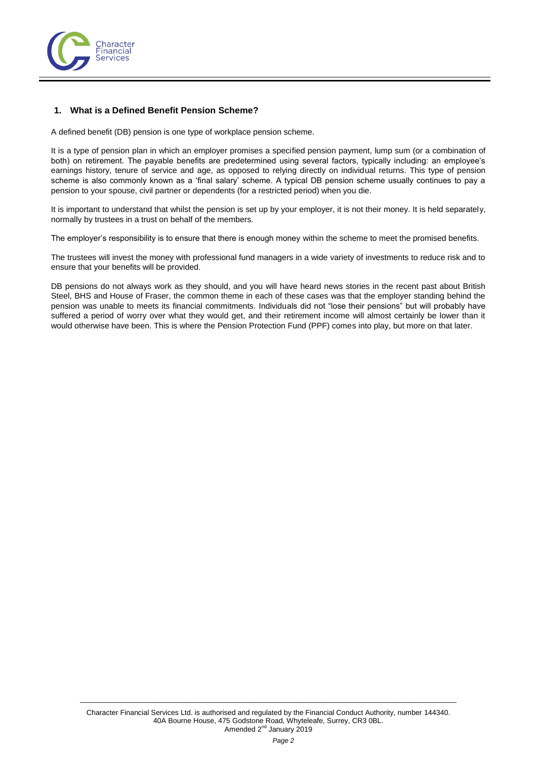

# <span id="page-1-0"></span>**1. What is a Defined Benefit Pension Scheme?**

A defined benefit (DB) pension is one type of workplace pension scheme.

It is a type of pension plan in which an employer promises a specified pension payment, lump sum (or a combination of both) on retirement. The payable benefits are predetermined using several factors, typically including: an employee's earnings history, tenure of service and age, as opposed to relying directly on individual returns. This type of pension scheme is also commonly known as a 'final salary' scheme. A typical DB pension scheme usually continues to pay a pension to your spouse, civil partner or dependents (for a restricted period) when you die.

It is important to understand that whilst the pension is set up by your employer, it is not their money. It is held separately, normally by trustees in a trust on behalf of the members.

The employer's responsibility is to ensure that there is enough money within the scheme to meet the promised benefits.

The trustees will invest the money with professional fund managers in a wide variety of investments to reduce risk and to ensure that your benefits will be provided.

DB pensions do not always work as they should, and you will have heard news stories in the recent past about British Steel, BHS and House of Fraser, the common theme in each of these cases was that the employer standing behind the pension was unable to meets its financial commitments. Individuals did not "lose their pensions" but will probably have suffered a period of worry over what they would get, and their retirement income will almost certainly be lower than it would otherwise have been. This is where the Pension Protection Fund (PPF) comes into play, but more on that later.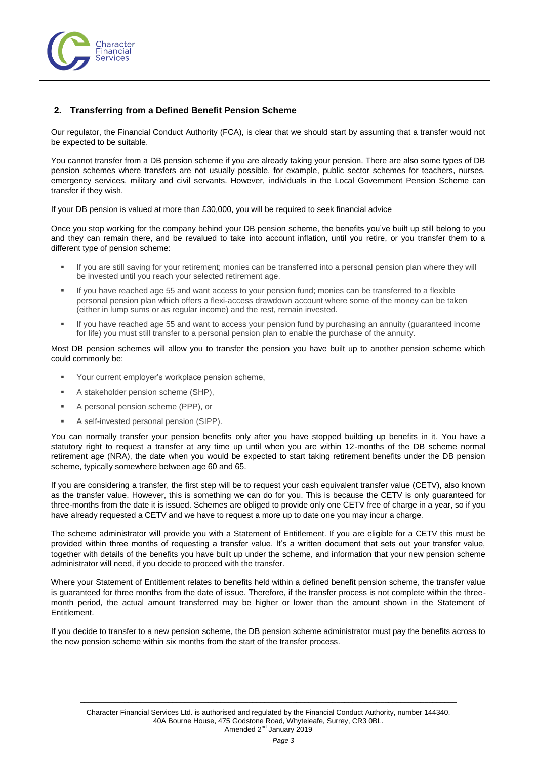

# <span id="page-2-0"></span>**2. Transferring from a Defined Benefit Pension Scheme**

Our regulator, the Financial Conduct Authority (FCA), is clear that we should start by assuming that a transfer would not be expected to be suitable.

You cannot transfer from a DB pension scheme if you are already taking your pension. There are also some types of DB pension schemes where transfers are not usually possible, for example, public sector schemes for teachers, nurses, emergency services, military and civil servants. However, individuals in the Local Government Pension Scheme can transfer if they wish.

If your DB pension is valued at more than £30,000, you will be required to seek financial advice

Once you stop working for the company behind your DB pension scheme, the benefits you've built up still belong to you and they can remain there, and be revalued to take into account inflation, until you retire, or you transfer them to a different type of pension scheme:

- If you are still saving for your retirement; monies can be transferred into a personal pension plan where they will be invested until you reach your selected retirement age.
- If you have reached age 55 and want access to your pension fund; monies can be transferred to a flexible personal pension plan which offers a flexi-access drawdown account where some of the money can be taken (either in lump sums or as regular income) and the rest, remain invested.
- If you have reached age 55 and want to access your pension fund by purchasing an annuity (guaranteed income for life) you must still transfer to a personal pension plan to enable the purchase of the annuity.

Most DB pension schemes will allow you to transfer the pension you have built up to another pension scheme which could commonly be:

- Your current employer's workplace pension scheme,
- **A stakeholder pension scheme (SHP).**
- **A personal pension scheme (PPP), or**
- A self-invested personal pension (SIPP).

You can normally transfer your pension benefits only after you have stopped building up benefits in it. You have a statutory right to request a transfer at any time up until when you are within 12-months of the DB scheme normal retirement age (NRA), the date when you would be expected to start taking retirement benefits under the DB pension scheme, typically somewhere between age 60 and 65.

If you are considering a transfer, the first step will be to request your cash equivalent transfer value (CETV), also known as the transfer value. However, this is something we can do for you. This is because the CETV is only guaranteed for three-months from the date it is issued. Schemes are obliged to provide only one CETV free of charge in a year, so if you have already requested a CETV and we have to request a more up to date one you may incur a charge.

The scheme administrator will provide you with a Statement of Entitlement. If you are eligible for a CETV this must be provided within three months of requesting a transfer value. It's a written document that sets out your transfer value, together with details of the benefits you have built up under the scheme, and information that your new pension scheme administrator will need, if you decide to proceed with the transfer.

Where your Statement of Entitlement relates to benefits held within a defined benefit pension scheme, the transfer value is guaranteed for three months from the date of issue. Therefore, if the transfer process is not complete within the threemonth period, the actual amount transferred may be higher or lower than the amount shown in the Statement of Entitlement.

If you decide to transfer to a new pension scheme, the DB pension scheme administrator must pay the benefits across to the new pension scheme within six months from the start of the transfer process.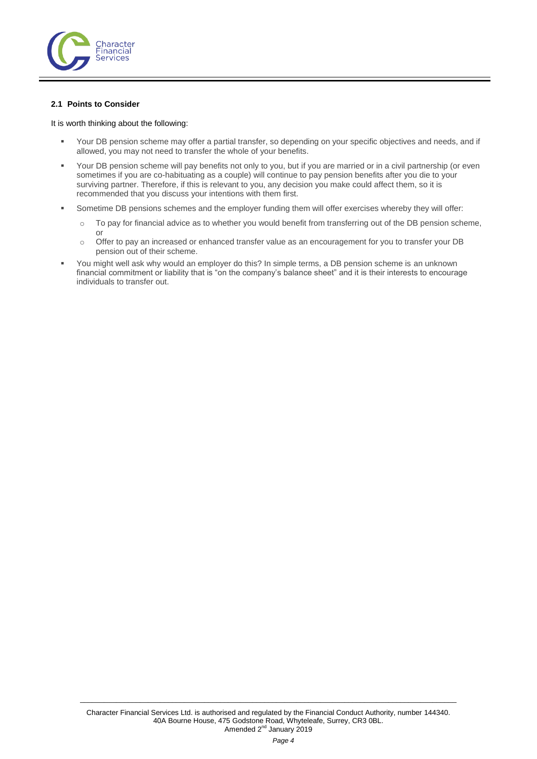

## **2.1 Points to Consider**

#### It is worth thinking about the following:

- Your DB pension scheme may offer a partial transfer, so depending on your specific objectives and needs, and if allowed, you may not need to transfer the whole of your benefits.
- Your DB pension scheme will pay benefits not only to you, but if you are married or in a civil partnership (or even sometimes if you are co-habituating as a couple) will continue to pay pension benefits after you die to your surviving partner. Therefore, if this is relevant to you, any decision you make could affect them, so it is recommended that you discuss your intentions with them first.
- Sometime DB pensions schemes and the employer funding them will offer exercises whereby they will offer:
	- o To pay for financial advice as to whether you would benefit from transferring out of the DB pension scheme, or
	- o Offer to pay an increased or enhanced transfer value as an encouragement for you to transfer your DB pension out of their scheme.
- You might well ask why would an employer do this? In simple terms, a DB pension scheme is an unknown financial commitment or liability that is "on the company's balance sheet" and it is their interests to encourage individuals to transfer out.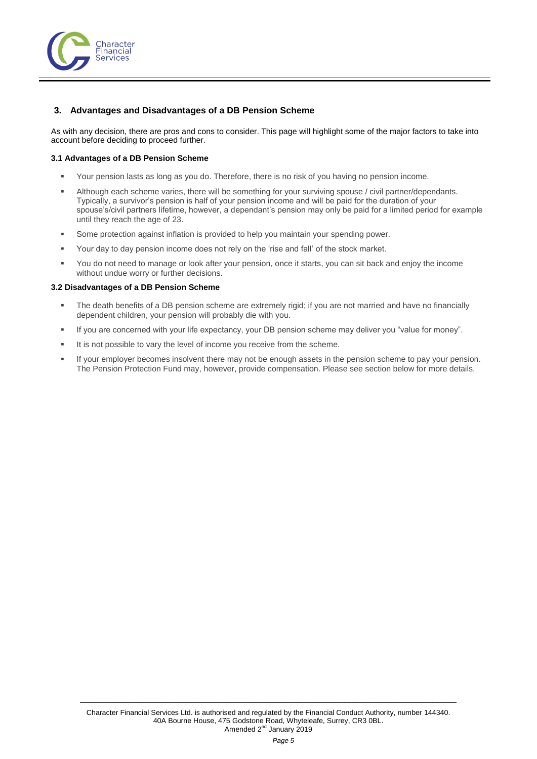

# <span id="page-4-0"></span>**3. Advantages and Disadvantages of a DB Pension Scheme**

As with any decision, there are pros and cons to consider. This page will highlight some of the major factors to take into account before deciding to proceed further.

## **3.1 Advantages of a DB Pension Scheme**

- Your pension lasts as long as you do. Therefore, there is no risk of you having no pension income.
- Although each scheme varies, there will be something for your surviving spouse / civil partner/dependants. Typically, a survivor's pension is half of your pension income and will be paid for the duration of your spouse's/civil partners lifetime, however, a dependant's pension may only be paid for a limited period for example until they reach the age of 23.
- **Some protection against inflation is provided to help you maintain your spending power.**
- Your day to day pension income does not rely on the 'rise and fall' of the stock market.
- You do not need to manage or look after your pension, once it starts, you can sit back and enjoy the income without undue worry or further decisions.

## **3.2 Disadvantages of a DB Pension Scheme**

- The death benefits of a DB pension scheme are extremely rigid; if you are not married and have no financially dependent children, your pension will probably die with you.
- If you are concerned with your life expectancy, your DB pension scheme may deliver you "value for money".
- It is not possible to vary the level of income you receive from the scheme.
- If your employer becomes insolvent there may not be enough assets in the pension scheme to pay your pension. The Pension Protection Fund may, however, provide compensation. Please see section below for more details.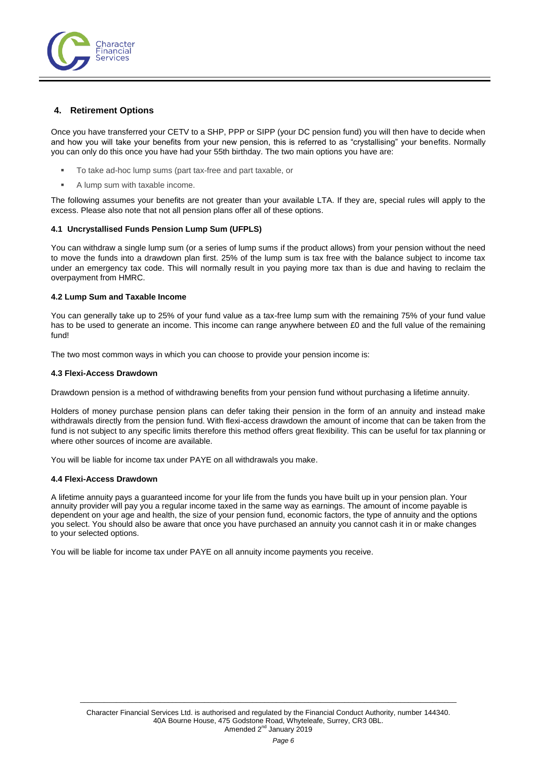

## <span id="page-5-0"></span>**4. Retirement Options**

Once you have transferred your CETV to a SHP, PPP or SIPP (your DC pension fund) you will then have to decide when and how you will take your benefits from your new pension, this is referred to as "crystallising" your benefits. Normally you can only do this once you have had your 55th birthday. The two main options you have are:

- To take ad-hoc lump sums (part tax-free and part taxable, or
- A lump sum with taxable income.

The following assumes your benefits are not greater than your available LTA. If they are, special rules will apply to the excess. Please also note that not all pension plans offer all of these options.

## **4.1 Uncrystallised Funds Pension Lump Sum (UFPLS)**

You can withdraw a single lump sum (or a series of lump sums if the product allows) from your pension without the need to move the funds into a drawdown plan first. 25% of the lump sum is tax free with the balance subject to income tax under an emergency tax code. This will normally result in you paying more tax than is due and having to reclaim the overpayment from HMRC.

## **4.2 Lump Sum and Taxable Income**

You can generally take up to 25% of your fund value as a tax-free lump sum with the remaining 75% of your fund value has to be used to generate an income. This income can range anywhere between £0 and the full value of the remaining fund!

The two most common ways in which you can choose to provide your pension income is:

#### **4.3 Flexi-Access Drawdown**

Drawdown pension is a method of withdrawing benefits from your pension fund without purchasing a lifetime annuity.

Holders of money purchase pension plans can defer taking their pension in the form of an annuity and instead make withdrawals directly from the pension fund. With flexi-access drawdown the amount of income that can be taken from the fund is not subject to any specific limits therefore this method offers great flexibility. This can be useful for tax planning or where other sources of income are available.

You will be liable for income tax under PAYE on all withdrawals you make.

#### **4.4 Flexi-Access Drawdown**

A lifetime annuity pays a guaranteed income for your life from the funds you have built up in your pension plan. Your annuity provider will pay you a regular income taxed in the same way as earnings. The amount of income payable is dependent on your age and health, the size of your pension fund, economic factors, the type of annuity and the options you select. You should also be aware that once you have purchased an annuity you cannot cash it in or make changes to your selected options.

You will be liable for income tax under PAYE on all annuity income payments you receive.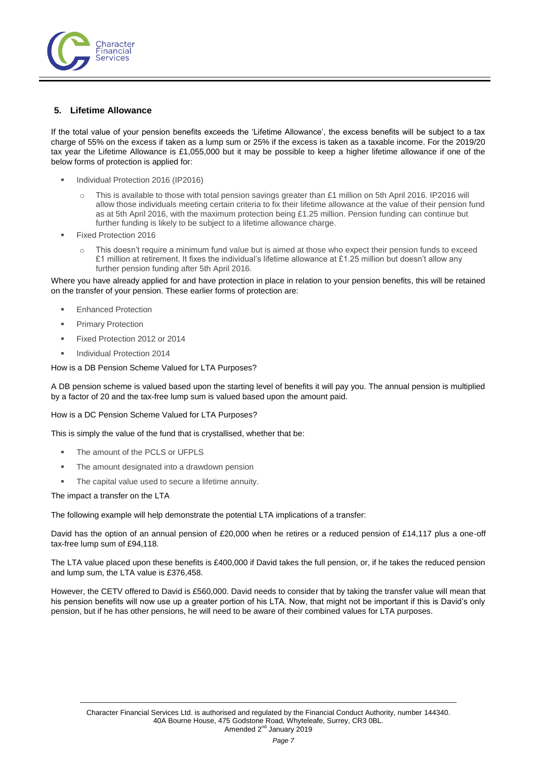

# <span id="page-6-0"></span>**5. Lifetime Allowance**

If the total value of your pension benefits exceeds the 'Lifetime Allowance', the excess benefits will be subject to a tax charge of 55% on the excess if taken as a lump sum or 25% if the excess is taken as a taxable income. For the 2019/20 tax year the Lifetime Allowance is £1,055,000 but it may be possible to keep a higher lifetime allowance if one of the below forms of protection is applied for:

- Individual Protection 2016 (IP2016)
	- o This is available to those with total pension savings greater than £1 million on 5th April 2016. IP2016 will allow those individuals meeting certain criteria to fix their lifetime allowance at the value of their pension fund as at 5th April 2016, with the maximum protection being £1.25 million. Pension funding can continue but further funding is likely to be subject to a lifetime allowance charge.
- Fixed Protection 2016
	- This doesn't require a minimum fund value but is aimed at those who expect their pension funds to exceed £1 million at retirement. It fixes the individual's lifetime allowance at £1.25 million but doesn't allow any further pension funding after 5th April 2016.

Where you have already applied for and have protection in place in relation to your pension benefits, this will be retained on the transfer of your pension. These earlier forms of protection are:

- Enhanced Protection
- Primary Protection
- Fixed Protection 2012 or 2014
- Individual Protection 2014

How is a DB Pension Scheme Valued for LTA Purposes?

A DB pension scheme is valued based upon the starting level of benefits it will pay you. The annual pension is multiplied by a factor of 20 and the tax-free lump sum is valued based upon the amount paid.

How is a DC Pension Scheme Valued for LTA Purposes?

This is simply the value of the fund that is crystallised, whether that be:

- The amount of the PCLS or UFPLS
- **F** The amount designated into a drawdown pension
- The capital value used to secure a lifetime annuity.

The impact a transfer on the LTA

The following example will help demonstrate the potential LTA implications of a transfer:

David has the option of an annual pension of £20,000 when he retires or a reduced pension of £14,117 plus a one-off tax-free lump sum of £94,118.

The LTA value placed upon these benefits is £400,000 if David takes the full pension, or, if he takes the reduced pension and lump sum, the LTA value is £376,458.

However, the CETV offered to David is £560,000. David needs to consider that by taking the transfer value will mean that his pension benefits will now use up a greater portion of his LTA. Now, that might not be important if this is David's only pension, but if he has other pensions, he will need to be aware of their combined values for LTA purposes.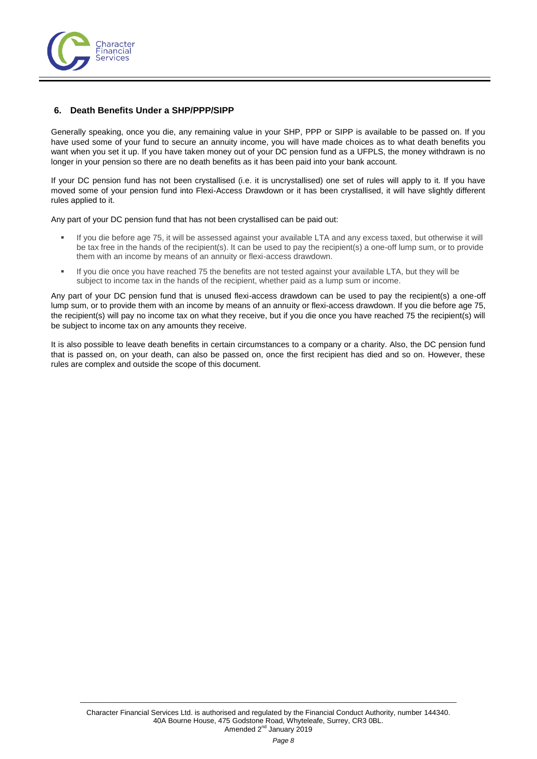

## <span id="page-7-0"></span>**6. Death Benefits Under a SHP/PPP/SIPP**

Generally speaking, once you die, any remaining value in your SHP, PPP or SIPP is available to be passed on. If you have used some of your fund to secure an annuity income, you will have made choices as to what death benefits you want when you set it up. If you have taken money out of your DC pension fund as a UFPLS, the money withdrawn is no longer in your pension so there are no death benefits as it has been paid into your bank account.

If your DC pension fund has not been crystallised (i.e. it is uncrystallised) one set of rules will apply to it. If you have moved some of your pension fund into Flexi-Access Drawdown or it has been crystallised, it will have slightly different rules applied to it.

Any part of your DC pension fund that has not been crystallised can be paid out:

- If you die before age 75, it will be assessed against your available LTA and any excess taxed, but otherwise it will be tax free in the hands of the recipient(s). It can be used to pay the recipient(s) a one-off lump sum, or to provide them with an income by means of an annuity or flexi-access drawdown.
- If you die once you have reached 75 the benefits are not tested against your available LTA, but they will be subject to income tax in the hands of the recipient, whether paid as a lump sum or income.

Any part of your DC pension fund that is unused flexi-access drawdown can be used to pay the recipient(s) a one-off lump sum, or to provide them with an income by means of an annuity or flexi-access drawdown. If you die before age 75, the recipient(s) will pay no income tax on what they receive, but if you die once you have reached 75 the recipient(s) will be subject to income tax on any amounts they receive.

It is also possible to leave death benefits in certain circumstances to a company or a charity. Also, the DC pension fund that is passed on, on your death, can also be passed on, once the first recipient has died and so on. However, these rules are complex and outside the scope of this document.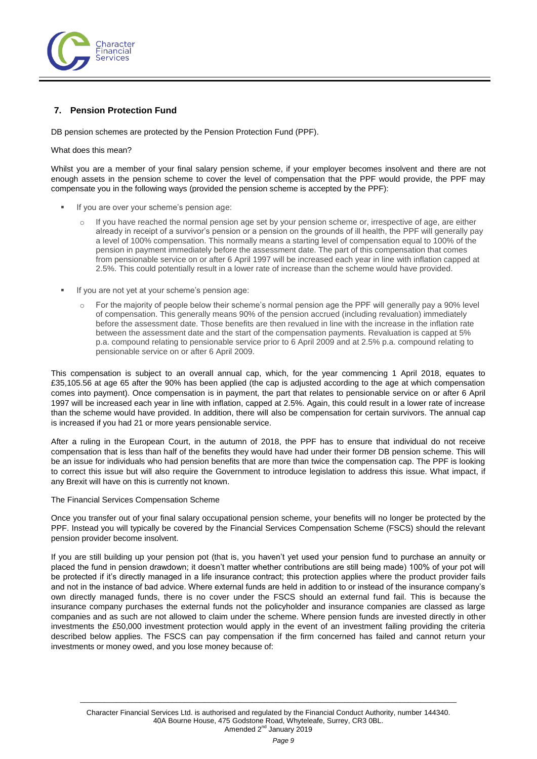

# <span id="page-8-0"></span>**7. Pension Protection Fund**

DB pension schemes are protected by the Pension Protection Fund (PPF).

## What does this mean?

Whilst you are a member of your final salary pension scheme, if your employer becomes insolvent and there are not enough assets in the pension scheme to cover the level of compensation that the PPF would provide, the PPF may compensate you in the following ways (provided the pension scheme is accepted by the PPF):

- If you are over your scheme's pension age:
	- If you have reached the normal pension age set by your pension scheme or, irrespective of age, are either already in receipt of a survivor's pension or a pension on the grounds of ill health, the PPF will generally pay a level of 100% compensation. This normally means a starting level of compensation equal to 100% of the pension in payment immediately before the assessment date. The part of this compensation that comes from pensionable service on or after 6 April 1997 will be increased each year in line with inflation capped at 2.5%. This could potentially result in a lower rate of increase than the scheme would have provided.
- If you are not yet at your scheme's pension age:
	- o For the majority of people below their scheme's normal pension age the PPF will generally pay a 90% level of compensation. This generally means 90% of the pension accrued (including revaluation) immediately before the assessment date. Those benefits are then revalued in line with the increase in the inflation rate between the assessment date and the start of the compensation payments. Revaluation is capped at 5% p.a. compound relating to pensionable service prior to 6 April 2009 and at 2.5% p.a. compound relating to pensionable service on or after 6 April 2009.

This compensation is subject to an overall annual cap, which, for the year commencing 1 April 2018, equates to £35,105.56 at age 65 after the 90% has been applied (the cap is adjusted according to the age at which compensation comes into payment). Once compensation is in payment, the part that relates to pensionable service on or after 6 April 1997 will be increased each year in line with inflation, capped at 2.5%. Again, this could result in a lower rate of increase than the scheme would have provided. In addition, there will also be compensation for certain survivors. The annual cap is increased if you had 21 or more years pensionable service.

After a ruling in the European Court, in the autumn of 2018, the PPF has to ensure that individual do not receive compensation that is less than half of the benefits they would have had under their former DB pension scheme. This will be an issue for individuals who had pension benefits that are more than twice the compensation cap. The PPF is looking to correct this issue but will also require the Government to introduce legislation to address this issue. What impact, if any Brexit will have on this is currently not known.

#### The Financial Services Compensation Scheme

Once you transfer out of your final salary occupational pension scheme, your benefits will no longer be protected by the PPF. Instead you will typically be covered by the Financial Services Compensation Scheme (FSCS) should the relevant pension provider become insolvent.

If you are still building up your pension pot (that is, you haven't yet used your pension fund to purchase an annuity or placed the fund in pension drawdown; it doesn't matter whether contributions are still being made) 100% of your pot will be protected if it's directly managed in a life insurance contract; this protection applies where the product provider fails and not in the instance of bad advice. Where external funds are held in addition to or instead of the insurance company's own directly managed funds, there is no cover under the FSCS should an external fund fail. This is because the insurance company purchases the external funds not the policyholder and insurance companies are classed as large companies and as such are not allowed to claim under the scheme. Where pension funds are invested directly in other investments the £50,000 investment protection would apply in the event of an investment failing providing the criteria described below applies. The FSCS can pay compensation if the firm concerned has failed and cannot return your investments or money owed, and you lose money because of: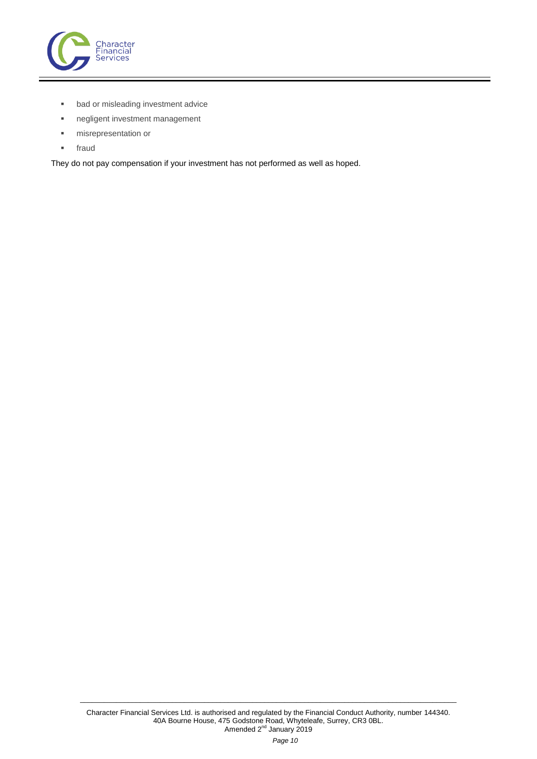

- **bad or misleading investment advice**
- negligent investment management
- misrepresentation or
- <span id="page-9-0"></span>**fraud**

They do not pay compensation if your investment has not performed as well as hoped.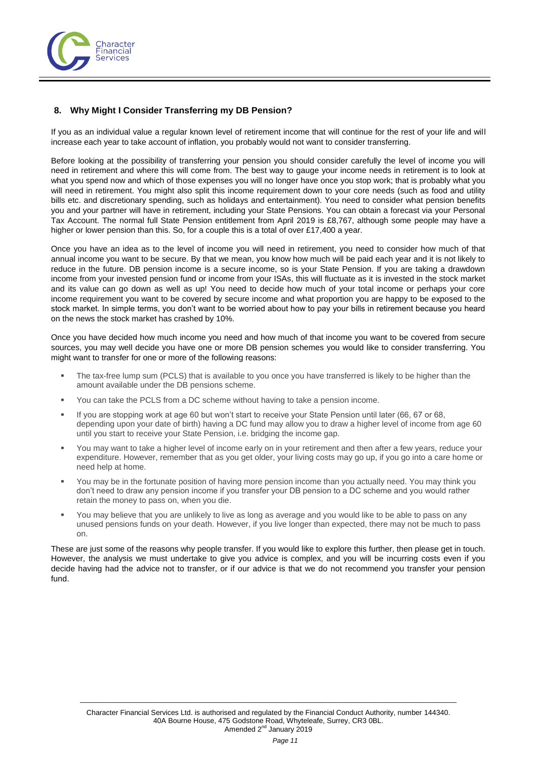

# **8. Why Might I Consider Transferring my DB Pension?**

If you as an individual value a regular known level of retirement income that will continue for the rest of your life and will increase each year to take account of inflation, you probably would not want to consider transferring.

Before looking at the possibility of transferring your pension you should consider carefully the level of income you will need in retirement and where this will come from. The best way to gauge your income needs in retirement is to look at what you spend now and which of those expenses you will no longer have once you stop work; that is probably what you will need in retirement. You might also split this income requirement down to your core needs (such as food and utility bills etc. and discretionary spending, such as holidays and entertainment). You need to consider what pension benefits you and your partner will have in retirement, including your State Pensions. You can obtain a forecast via your Personal Tax Account. The normal full State Pension entitlement from April 2019 is £8,767, although some people may have a higher or lower pension than this. So, for a couple this is a total of over £17,400 a year.

Once you have an idea as to the level of income you will need in retirement, you need to consider how much of that annual income you want to be secure. By that we mean, you know how much will be paid each year and it is not likely to reduce in the future. DB pension income is a secure income, so is your State Pension. If you are taking a drawdown income from your invested pension fund or income from your ISAs, this will fluctuate as it is invested in the stock market and its value can go down as well as up! You need to decide how much of your total income or perhaps your core income requirement you want to be covered by secure income and what proportion you are happy to be exposed to the stock market. In simple terms, you don't want to be worried about how to pay your bills in retirement because you heard on the news the stock market has crashed by 10%.

Once you have decided how much income you need and how much of that income you want to be covered from secure sources, you may well decide you have one or more DB pension schemes you would like to consider transferring. You might want to transfer for one or more of the following reasons:

- The tax-free lump sum (PCLS) that is available to you once you have transferred is likely to be higher than the amount available under the DB pensions scheme.
- You can take the PCLS from a DC scheme without having to take a pension income.
- If you are stopping work at age 60 but won't start to receive your State Pension until later (66, 67 or 68, depending upon your date of birth) having a DC fund may allow you to draw a higher level of income from age 60 until you start to receive your State Pension, i.e. bridging the income gap.
- You may want to take a higher level of income early on in your retirement and then after a few years, reduce your expenditure. However, remember that as you get older, your living costs may go up, if you go into a care home or need help at home.
- You may be in the fortunate position of having more pension income than you actually need. You may think you don't need to draw any pension income if you transfer your DB pension to a DC scheme and you would rather retain the money to pass on, when you die.
- You may believe that you are unlikely to live as long as average and you would like to be able to pass on any unused pensions funds on your death. However, if you live longer than expected, there may not be much to pass on.

These are just some of the reasons why people transfer. If you would like to explore this further, then please get in touch. However, the analysis we must undertake to give you advice is complex, and you will be incurring costs even if you decide having had the advice not to transfer, or if our advice is that we do not recommend you transfer your pension fund.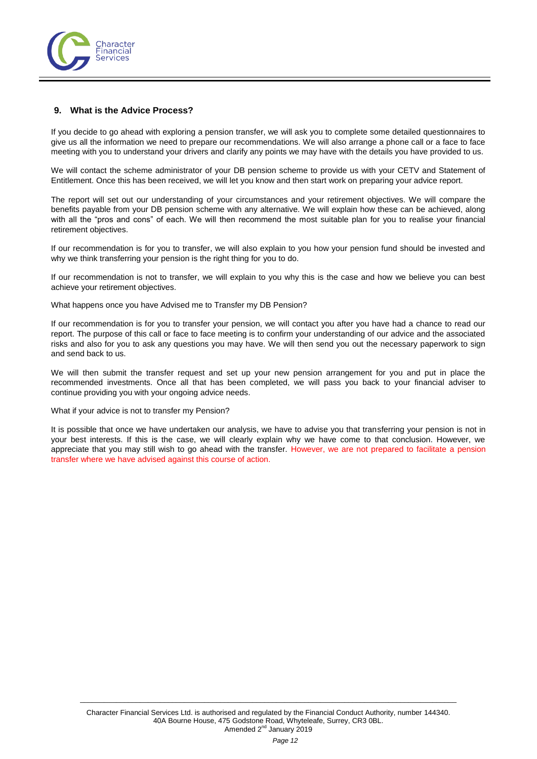

## <span id="page-11-0"></span>**9. What is the Advice Process?**

If you decide to go ahead with exploring a pension transfer, we will ask you to complete some detailed questionnaires to give us all the information we need to prepare our recommendations. We will also arrange a phone call or a face to face meeting with you to understand your drivers and clarify any points we may have with the details you have provided to us.

We will contact the scheme administrator of your DB pension scheme to provide us with your CETV and Statement of Entitlement. Once this has been received, we will let you know and then start work on preparing your advice report.

The report will set out our understanding of your circumstances and your retirement objectives. We will compare the benefits payable from your DB pension scheme with any alternative. We will explain how these can be achieved, along with all the "pros and cons" of each. We will then recommend the most suitable plan for you to realise your financial retirement objectives.

If our recommendation is for you to transfer, we will also explain to you how your pension fund should be invested and why we think transferring your pension is the right thing for you to do.

If our recommendation is not to transfer, we will explain to you why this is the case and how we believe you can best achieve your retirement objectives.

What happens once you have Advised me to Transfer my DB Pension?

If our recommendation is for you to transfer your pension, we will contact you after you have had a chance to read our report. The purpose of this call or face to face meeting is to confirm your understanding of our advice and the associated risks and also for you to ask any questions you may have. We will then send you out the necessary paperwork to sign and send back to us.

We will then submit the transfer request and set up your new pension arrangement for you and put in place the recommended investments. Once all that has been completed, we will pass you back to your financial adviser to continue providing you with your ongoing advice needs.

## What if your advice is not to transfer my Pension?

It is possible that once we have undertaken our analysis, we have to advise you that transferring your pension is not in your best interests. If this is the case, we will clearly explain why we have come to that conclusion. However, we appreciate that you may still wish to go ahead with the transfer. However, we are not prepared to facilitate a pension transfer where we have advised against this course of action.